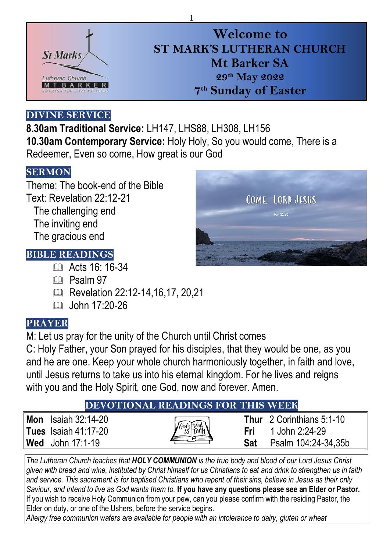

# **Welcome to ST MARK'S LUTHERAN CHURCH Mt Barker SA 29 th May 2022 7 th Sunday of Easter**

## **DIVINE SERVICE**

**8.30am Traditional Service:** LH147, LHS88, LH308, LH156 **10.30am Contemporary Service:** Holy Holy, So you would come, There is a Redeemer, Even so come, How great is our God

1

## **SERMON**

Theme: The book-end of the Bible Text: Revelation 22:12-21 The challenging end The inviting end The gracious end

## **BIBLE READINGS**

- **EQ Acts 16: 16-34**
- $CD$  Psalm 97
- Revelation 22:12-14,16,17, 20,21
- $\Box$  John 17:20-26

## **PRAYER**

M: Let us pray for the unity of the Church until Christ comes

C: Holy Father, your Son prayed for his disciples, that they would be one, as you and he are one. Keep your whole church harmoniously together, in faith and love, until Jesus returns to take us into his eternal kingdom. For he lives and reigns with you and the Holy Spirit, one God, now and forever. Amen.

## **DEVOTIONAL READINGS FOR THIS WEEK**

| <b>Mon</b> Isaiah $32:14-20$ |
|------------------------------|
| <b>Tues</b> Isaiah 41:17-20  |
| <b>Wed</b> John $17:1-19$    |

*The Lutheran Church teaches that HOLY COMMUNION is the true body and blood of our Lord Jesus Christ given with bread and wine, instituted by Christ himself for us Christians to eat and drink to strengthen us in faith and service. This sacrament is for baptised Christians who repent of their sins, believe in Jesus as their only Saviour, and intend to live as God wants them to.* **If you have any questions please see an Elder or Pastor.**  If you wish to receive Holy Communion from your pew, can you please confirm with the residing Pastor, the Elder on duty, or one of the Ushers, before the service begins.

*Allergy free communion wafers are available for people with an intolerance to dairy, gluten or wheat*



**Thur** 2 Corinthians 5:1-10 **Fri** 1 John 2:24-29 **Sat** Psalm 104:24-34,35b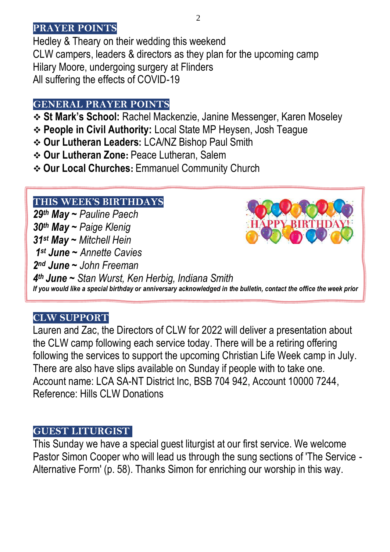#### **PRAYER POINTS**

Hedley & Theary on their wedding this weekend CLW campers, leaders & directors as they plan for the upcoming camp Hilary Moore, undergoing surgery at Flinders All suffering the effects of COVID-19

#### **GENERAL PRAYER POINTS**

- ❖ **St Mark's School:** Rachel Mackenzie, Janine Messenger, Karen Moseley
- ❖ **People in Civil Authority:** Local State MP Heysen, Josh Teague
- ❖ **Our Lutheran Leaders:** LCA/NZ Bishop Paul Smith
- ❖ **Our Lutheran Zone:** Peace Lutheran, Salem
- ❖ **Our Local Churches:** Emmanuel Community Church

## **THIS WEEK'S BIRTHDAYS**

29th *31st May ~ Mitchell Hein th May ~ Pauline Paech th May ~ Paige Klenig st June ~ Annette Cavies nd June ~ John Freeman th June ~ Stan Wurst, Ken Herbig, Indiana Smith If you would like a special birthday or anniversary acknowledged in the bulletin, contact the office the week prior*

## **CLW SUPPORT**

Lauren and Zac, the Directors of CLW for 2022 will deliver a presentation about the CLW camp following each service today. There will be a retiring offering following the services to support the upcoming Christian Life Week camp in July. There are also have slips available on Sunday if people with to take one. Account name: LCA SA-NT District Inc, BSB 704 942, Account 10000 7244, Reference: Hills CLW Donations

#### **GUEST LITURGIST**

This Sunday we have a special guest liturgist at our first service. We welcome Pastor Simon Cooper who will lead us through the sung sections of 'The Service - Alternative Form' (p. 58). Thanks Simon for enriching our worship in this way.

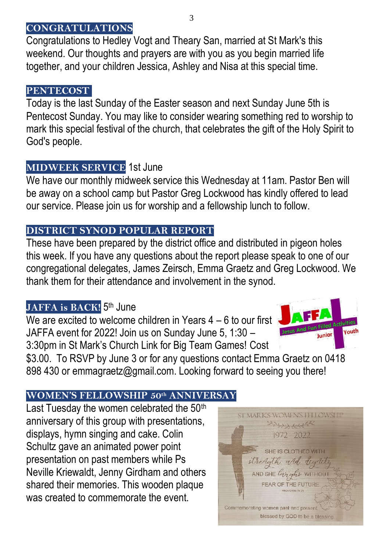#### **CONGRATULATIONS**

Congratulations to Hedley Vogt and Theary San, married at St Mark's this weekend. Our thoughts and prayers are with you as you begin married life together, and your children Jessica, Ashley and Nisa at this special time.

#### l **PENTECOST**

Today is the last Sunday of the Easter season and next Sunday June 5th is Pentecost Sunday. You may like to consider wearing something red to worship to mark this special festival of the church, that celebrates the gift of the Holy Spirit to God's people.

## **MIDWEEK SERVICE** 1st June

We have our monthly midweek service this Wednesday at 11am. Pastor Ben will be away on a school camp but Pastor Greg Lockwood has kindly offered to lead our service. Please join us for worship and a fellowship lunch to follow.

## **DISTRICT SYNOD POPULAR REPORT**

These have been prepared by the district office and distributed in pigeon holes this week. If you have any questions about the report please speak to one of our congregational delegates, James Zeirsch, Emma Graetz and Greg Lockwood. We thank them for their attendance and involvement in the synod.

## <code>JAFFA</code> is BACK!  $5^{\text{th}}$  June

We are excited to welcome children in Years 4 – 6 to our first JAFFA event for 2022! Join us on Sunday June 5, 1:30 – 3:30pm in St Mark's Church Link for Big Team Games! Cost



\$3.00. To RSVP by June 3 or for any questions contact Emma Graetz on 0418 898 430 or [emmagraetz@gmail.com.](about:blank) Looking forward to seeing you there!

## **WOMEN'S FELLOWSHIP 50th ANNIVERSAY**

Last Tuesday the women celebrated the 50<sup>th</sup> anniversary of this group with presentations, displays, hymn singing and cake. Colin Schultz gave an animated power point presentation on past members while Ps Neville Kriewaldt, Jenny Girdham and others shared their memories. This wooden plaque was created to commemorate the event.

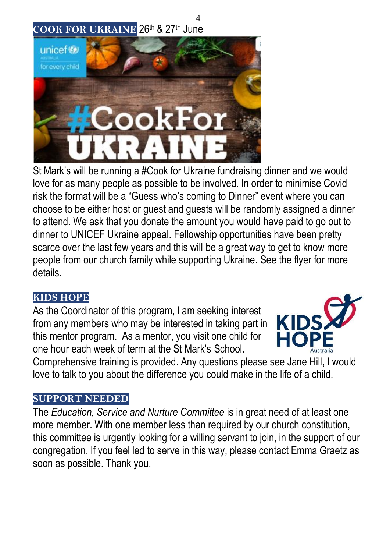## **COOK FOR UKRAINE** 26th & 27th June



St Mark's will be running a #Cook for Ukraine fundraising dinner and we would love for as many people as possible to be involved. In order to minimise Covid risk the format will be a "Guess who's coming to Dinner" event where you can choose to be either host or guest and guests will be randomly assigned a dinner to attend. We ask that you donate the amount you would have paid to go out to dinner to UNICEF Ukraine appeal. Fellowship opportunities have been pretty scarce over the last few years and this will be a great way to get to know more people from our church family while supporting Ukraine. See the flyer for more details.

4

#### **KIDS HOPE**

As the Coordinator of this program, I am seeking interest from any members who may be interested in taking part in this mentor program. As a mentor, you visit one child for one hour each week of term at the St Mark's School.



Comprehensive training is provided. Any questions please see Jane Hill, I would love to talk to you about the difference you could make in the life of a child.

#### **SUPPORT NEEDED**

The *Education, Service and Nurture Committee* is in great need of at least one more member. With one member less than required by our church constitution, this committee is urgently looking for a willing servant to join, in the support of our congregation. If you feel led to serve in this way, please contact Emma Graetz as soon as possible. Thank you.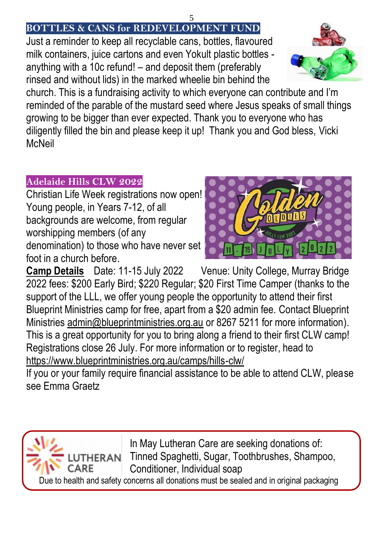#### 5 **BOTTLES & CANS for REDEVELOPMENT FUND**

Just a reminder to keep all recyclable cans, bottles, flavoured milk containers, juice cartons and even Yokult plastic bottles anything with a 10c refund! – and deposit them (preferably rinsed and without lids) in the marked wheelie bin behind the

church. This is a fundraising activity to which everyone can contribute and I'm reminded of the parable of the mustard seed where Jesus speaks of small things growing to be bigger than ever expected. Thank you to everyone who has diligently filled the bin and please keep it up! Thank you and God bless, Vicki **McNeil** 

## **Adelaide Hills CLW 2022**

Christian Life Week registrations now open! Young people, in Years 7-12, of all backgrounds are welcome, from regular worshipping members (of any denomination) to those who have never set foot in a church before.

**Camp Details** Date: 11-15 July 2022 Venue: Unity College, Murray Bridge 2022 fees: \$200 Early Bird; \$220 Regular; \$20 First Time Camper (thanks to the support of the LLL, we offer young people the opportunity to attend their first Blueprint Ministries camp for free, apart from a \$20 admin fee. Contact Blueprint Ministries [admin@blueprintministries.org.au](mailto:admin@blueprintministries.org.au) or 8267 5211 for more information). This is a great opportunity for you to bring along a friend to their first CLW camp! Registrations close 26 July. For more information or to register, head to <https://www.blueprintministries.org.au/camps/hills-clw/>

If you or your family require financial assistance to be able to attend CLW, please see Emma Graetz

In May Lutheran Care are seeking donations of: Tinned Spaghetti, Sugar, Toothbrushes, Shampoo, Conditioner, Individual soap Due to health and safety concerns all donations must be sealed and in original packaging





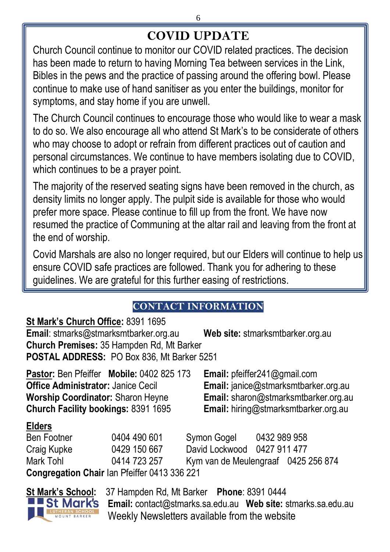# **COVID UPDATE**

Church Council continue to monitor our COVID related practices. The decision has been made to return to having Morning Tea between services in the Link, Bibles in the pews and the practice of passing around the offering bowl. Please continue to make use of hand sanitiser as you enter the buildings, monitor for symptoms, and stay home if you are unwell.

The Church Council continues to encourage those who would like to wear a mask to do so. We also encourage all who attend St Mark's to be considerate of others who may choose to adopt or refrain from different practices out of caution and personal circumstances. We continue to have members isolating due to COVID, which continues to be a prayer point.

The majority of the reserved seating signs have been removed in the church, as density limits no longer apply. The pulpit side is available for those who would prefer more space. Please continue to fill up from the front. We have now resumed the practice of Communing at the altar rail and leaving from the front at the end of worship.

Covid Marshals are also no longer required, but our Elders will continue to help us ensure COVID safe practices are followed. Thank you for adhering to these guidelines. We are grateful for this further easing of restrictions.

## **CONTACT INFORMATION**

#### **St Mark's Church Office:** 8391 1695

**Email**[: stmarks@stmarksmtbarker.org.au](mailto:stmarks@stmarksmtbarker.org.au) **Web site:** stmarksmtbarker.org.au **Church Premises:** 35 Hampden Rd, Mt Barker **POSTAL ADDRESS:** PO Box 836, Mt Barker 5251

**Pastor:** Ben Pfeiffer **Mobile:** 0402 825 173 **Email:** [pfeiffer241@gmail.com](mailto:pfeiffer241@gmail.com) **Office Administrator:** Janice Cecil **Email:** [janice@stmarksmtbarker.org.au](mailto:janice@stmarksmtbarker.org.au) **Worship Coordinator:** Sharon Heyne **Email:** [sharon@stmarksmtbarker.org.au](mailto:sharon@stmarksmtbarker.org.au) **Church Facility bookings:** 8391 1695 **Email:** hiring@stmarksmtbarker.org.au

#### **Elders**

Ben Footner 0404 490 601 Symon Gogel 0432 989 958 Craig Kupke 0429 150 667 David Lockwood 0427 911 477 Mark Tohl 0414 723 257 Kym van de Meulengraaf 0425 256 874 **Congregation Chair** Ian Pfeiffer 0413 336 221



**St Mark's School:** 37 Hampden Rd, Mt Barker **Phone**: 8391 0444 **Email:** [contact@stmarks.sa.edu.au](mailto:contact@stmarks.sa.edu.au) **Web site:** [stmarks.sa.edu.au](http://www.stmarks.sa.edu.au/) Weekly Newsletters available from the website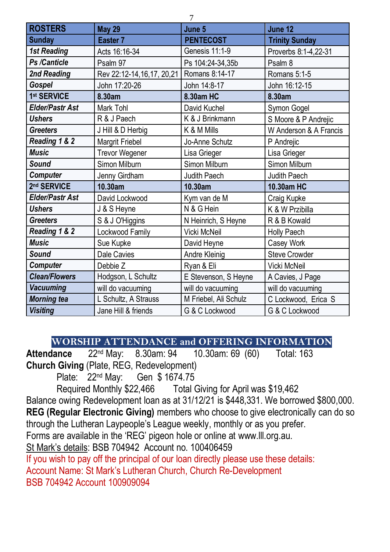| <b>ROSTERS</b>       | <b>May 29</b>             | June 5                | June 12                |
|----------------------|---------------------------|-----------------------|------------------------|
| <b>Sunday</b>        | Easter 7                  | <b>PENTECOST</b>      | <b>Trinity Sunday</b>  |
| 1st Reading          | Acts 16:16-34             | Genesis 11:1-9        | Proverbs 8:1-4,22-31   |
| Ps /Canticle         | Psalm 97                  | Ps 104:24-34.35b      | Psalm 8                |
| 2nd Reading          | Rev 22:12-14,16,17, 20,21 | Romans 8:14-17        | Romans 5:1-5           |
| Gospel               | John 17:20-26             | John 14:8-17          | John 16:12-15          |
| 1st SERVICE          | 8.30am                    | 8.30am HC             | 8.30am                 |
| Elder/Pastr Ast      | Mark Tohl                 | David Kuchel          | Symon Gogel            |
| <b>Ushers</b>        | R & J Paech               | K & J Brinkmann       | S Moore & P Andrejic   |
| <b>Greeters</b>      | J Hill & D Herbig         | K & M Mills           | W Anderson & A Francis |
| Reading 1 & 2        | Margrit Friebel           | Jo-Anne Schutz        | P Andrejic             |
| <b>Music</b>         | <b>Trevor Wegener</b>     | Lisa Grieger          | Lisa Grieger           |
| Sound                | Simon Milburn             | Simon Milburn         | Simon Milburn          |
| Computer             | Jenny Girdham             | Judith Paech          | Judith Paech           |
| 2nd SERVICE          | 10.30am                   | 10.30am               | 10.30am HC             |
| Elder/Pastr Ast      | David Lockwood            | Kym van de M          | Craig Kupke            |
| <b>Ushers</b>        | J & S Heyne               | N & G Hein            | K & W Przibilla        |
| <b>Greeters</b>      | S & J O'Higgins           | N Heinrich, S Heyne   | R & B Kowald           |
| Reading 1 & 2        | Lockwood Family           | Vicki McNeil          | Holly Paech            |
| <b>Music</b>         | Sue Kupke                 | David Heyne           | Casey Work             |
| Sound                | Dale Cavies               | Andre Kleinig         | Steve Crowder          |
| Computer             | Debbie Z                  | Ryan & Eli            | Vicki McNeil           |
| <b>Clean/Flowers</b> | Hodgson, L Schultz        | E Stevenson, S Heyne  | A Cavies, J Page       |
| <b>Vacuuming</b>     | will do vacuuming         | will do vacuuming     | will do vacuuming      |
| <b>Morning tea</b>   | L Schultz, A Strauss      | M Friebel, Ali Schulz | C Lockwood, Erica S    |
| <b>Visiting</b>      | Jane Hill & friends       | G & C Lockwood        | G & C Lockwood         |

**WORSHIP ATTENDANCE and OFFERING INFORMATION**

**Attendance** 22<sup>nd</sup> May: 8.30am: 94 **Church Giving** (Plate, REG, Redevelopment)

Plate: 22<sup>nd</sup> May: Gen \$ 1674.75<br>Required Monthly \$22,466 Total (

Total Giving for April was \$19,462

Balance owing Redevelopment loan as at 31/12/21 is \$448,331. We borrowed \$800,000.

**REG (Regular Electronic Giving)** members who choose to give electronically can do so

through the Lutheran Laypeople's League weekly, monthly or as you prefer.

Forms are available in the 'REG' pigeon hole or online at [www.lll.org.au.](http://www.lll.org.au/)

St Mark's details: BSB 704942 Account no. 100406459

If you wish to pay off the principal of our loan directly please use these details:

Account Name: St Mark's Lutheran Church, Church Re-Development BSB 704942 Account 100909094